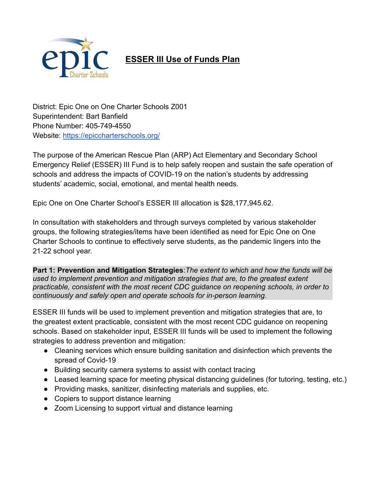

## **ESSER III Use of Funds Plan**

District: Epic One on One Charter Schools Z001 Superintendent: Bart Banfield Phone Number: 405-749-4550 Website: <https://epiccharterschools.org/>

The purpose of the American Rescue Plan (ARP) Act Elementary and Secondary School Emergency Relief (ESSER) III Fund is to help safely reopen and sustain the safe operation of schools and address the impacts of COVID-19 on the nation's students by addressing students' academic, social, emotional, and mental health needs.

Epic One on One Charter School's ESSER III allocation is \$28,177,945.62.

In consultation with stakeholders and through surveys completed by various stakeholder groups, the following strategies/items have been identified as need for Epic One on One Charter Schools to continue to effectively serve students, as the pandemic lingers into the 21-22 school year.

**Part 1: Prevention and Mitigation Strategies**:*The extent to which and how the funds will be used to implement prevention and mitigation strategies that are, to the greatest extent practicable, consistent with the most recent CDC guidance on reopening schools, in order to continuously and safely open and operate schools for in-person learning.*

ESSER III funds will be used to implement prevention and mitigation strategies that are, to the greatest extent practicable, consistent with the most recent CDC guidance on reopening schools. Based on stakeholder input, ESSER III funds will be used to implement the following strategies to address prevention and mitigation:

- Cleaning services which ensure building sanitation and disinfection which prevents the spread of Covid-19
- Building security camera systems to assist with contact tracing
- Leased learning space for meeting physical distancing guidelines (for tutoring, testing, etc.)
- Providing masks, sanitizer, disinfecting materials and supplies, etc.
- Copiers to support distance learning
- Zoom Licensing to support virtual and distance learning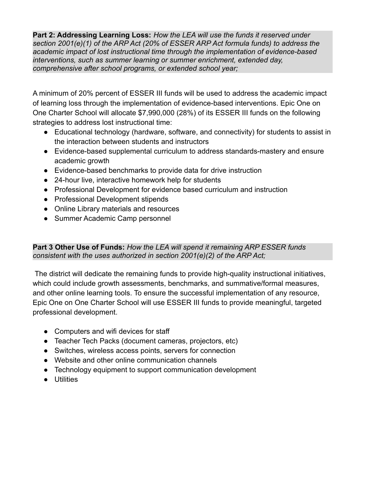**Part 2: Addressing Learning Loss:** *How the LEA will use the funds it reserved under section 2001(e)(1) of the ARP Act (20% of ESSER ARP Act formula funds) to address the academic impact of lost instructional time through the implementation of evidence-based interventions, such as summer learning or summer enrichment, extended day, comprehensive after school programs, or extended school year;*

A minimum of 20% percent of ESSER III funds will be used to address the academic impact of learning loss through the implementation of evidence-based interventions. Epic One on One Charter School will allocate \$7,990,000 (28%) of its ESSER III funds on the following strategies to address lost instructional time:

- Educational technology (hardware, software, and connectivity) for students to assist in the interaction between students and instructors
- Evidence-based supplemental curriculum to address standards-mastery and ensure academic growth
- Evidence-based benchmarks to provide data for drive instruction
- 24-hour live, interactive homework help for students
- Professional Development for evidence based curriculum and instruction
- Professional Development stipends
- Online Library materials and resources
- Summer Academic Camp personnel

## **Part 3 Other Use of Funds:** *How the LEA will spend it remaining ARP ESSER funds consistent with the uses authorized in section 2001(e)(2) of the ARP Act;*

The district will dedicate the remaining funds to provide high-quality instructional initiatives, which could include growth assessments, benchmarks, and summative/formal measures, and other online learning tools. To ensure the successful implementation of any resource, Epic One on One Charter School will use ESSER III funds to provide meaningful, targeted professional development.

- Computers and wifi devices for staff
- Teacher Tech Packs (document cameras, projectors, etc)
- Switches, wireless access points, servers for connection
- Website and other online communication channels
- Technology equipment to support communication development
- Utilities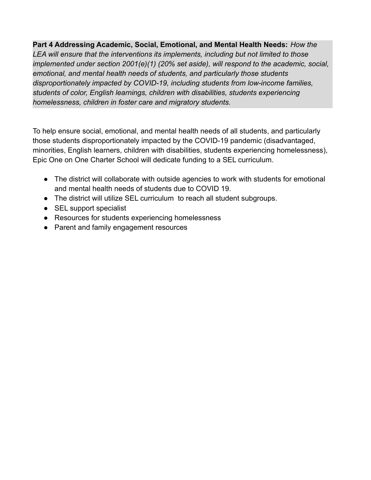**Part 4 Addressing Academic, Social, Emotional, and Mental Health Needs:** *How the LEA will ensure that the interventions its implements, including but not limited to those implemented under section 2001(e)(1) (20% set aside), will respond to the academic, social, emotional, and mental health needs of students, and particularly those students disproportionately impacted by COVID-19, including students from low-income families, students of color, English learnings, children with disabilities, students experiencing homelessness, children in foster care and migratory students.*

To help ensure social, emotional, and mental health needs of all students, and particularly those students disproportionately impacted by the COVID-19 pandemic (disadvantaged, minorities, English learners, children with disabilities, students experiencing homelessness), Epic One on One Charter School will dedicate funding to a SEL curriculum.

- The district will collaborate with outside agencies to work with students for emotional and mental health needs of students due to COVID 19.
- The district will utilize SEL curriculum to reach all student subgroups.
- SEL support specialist
- Resources for students experiencing homelessness
- Parent and family engagement resources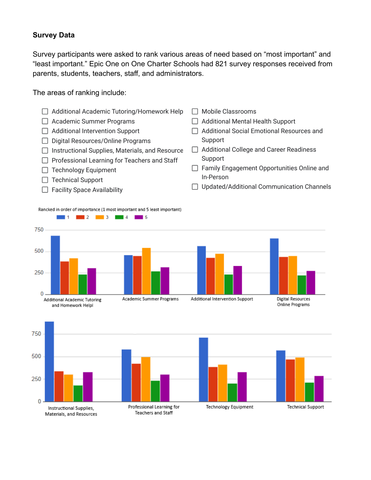## **Survey Data**

Survey participants were asked to rank various areas of need based on "most important" and "least important." Epic One on One Charter Schools had 821 survey responses received from parents, students, teachers, staff, and administrators.

The areas of ranking include: